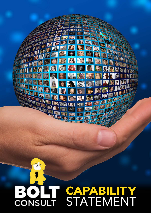# **START** E E **o** (8) [4] OCPER **B** 13 01 8,18  $\ddot{\bm{\theta}}$ **ISS** 國德取例  $\frac{1}{2}$ BIR **R GAN** 陵 ý  $\mathbb{R}$ **CALLES CAPABILITY** STATEMENT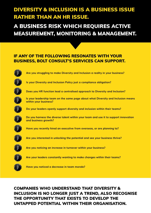# DIVERSITY & INCLUSION IS A BUSINESS ISSUE RATHER THAN AN HR ISSUE.

A BUSINESS RISK WHICH REQUIRES ACTIVE MEASUREMENT, MONITORING & MANAGEMENT.

### IF ANY OF THE FOLLOWING RESONATES WITH YOUR BUSINESS, BOLT CONSULT'S SERVICES CAN SUPPORT.



## COMPANIES WHO UNDERSTAND THAT DIVERSITY & INCLUSION IS NO LONGER JUST A TREND, ALSO RECOGNISE THE OPPORTUNITY THAT EXISTS TO DEVELOP THE UNTAPPED POTENTIAL WITHIN THEIR ORGANISATION.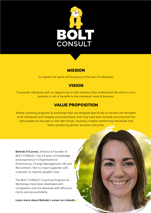

## **MISSION**

To reignite the spark and bring joy to the lives of individuals.

## **VISION**

To provide individuals with an opportunity to fully embrace their professional life which in turn, presents a raft of benefits to the individual, team & business.

## VALUE PROPOSITION

Deliver coaching programs & workshops that are designed specifically to harness the strengths of all individuals and mitigate perceived biases that may have been formed, ensuring that the right people are focused on the right things, resulting in higher performing individuals and teams producing greater business outcomes.

**Belinda O'Connor,** Director & Founder of BOLT CONSULT, has 15 years of knowledge and experience in Organisational Performance, Change Management, HR and Recruitment. She is a loyal supporter with a passion to improve people's lives.

The BOLT CONSULT Coaching Programs & Workshops have been developed with compassion and are delivered with efficiency, clarity and accountability.

**[Learn more about Belinda's career on Linkedin](https://www.linkedin.com/in/belinda-oconnor/)** ►

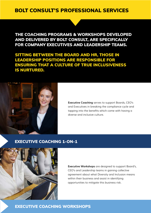## BOLT CONSULT'S PROFESSIONAL SERVICES

THE COACHING PROGRAMS & WORKSHOPS DEVELOPED AND DELIVERED BY BOLT CONSULT, ARE SPECIFICALLY FOR COMPANY EXECUTIVES AND LEADERSHIP TEAMS.

SITTING BETWEEN THE BOARD AND HR, THOSE IN LEADERSHIP POSITIONS ARE RESPONSIBLE FOR ENSURING THAT A CULTURE OF TRUE INCLUSIVENESS IS NURTURED.



**Executive Coaching** serves to support Boards, CEO's and Executives in breaking the compliance cycle and tapping into the benefits which come with having a diverse and inclusive culture.

#### [EXECUTIVE COACHING 1-ON-1](https://boltconsult.com.au/services/executive-coaching/)



**Executive Workshops** are designed to support Board's, CEO's and Leadership teams in gaining collective agreement about what Diversity and Inclusion means within their business and assist in identifying opportunities to mitigate this business risk.

[EXECUTIVE COACHING WORKSHOPS](https://boltconsult.com.au/services/executive-coaching-workshops/)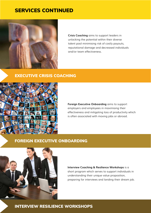## SERVICES CONTINUED



**Crisis Coaching** aims to support leaders in unlocking the potential within their diverse talent pool minimising risk of costly payouts, reputational damage and decreased individuals and/or team effectiveness.

#### [EXECUTIVE CRISIS COACHING](https://boltconsult.com.au/services/crisis-executive-coaching/)



**Foreign Executive Onboarding** aims to support employers and employees in maximising their effectiveness and mitigating loss of productivity which is often associated with moving jobs or abroad.

#### [FOREIGN EXECUTIVE ONBOARDING](https://boltconsult.com.au/services/foreign-executive-on-boarding/)



**Interview Coaching & Resilience Workshops** is a short program which serves to support individuals in understanding their unique value proposition, preparing for interviews and landing their dream job.

#### [INTERVIEW RESILIENCE WORKSHOPS](https://boltconsult.com.au/services/interview-coaching-resilience-workshops/)